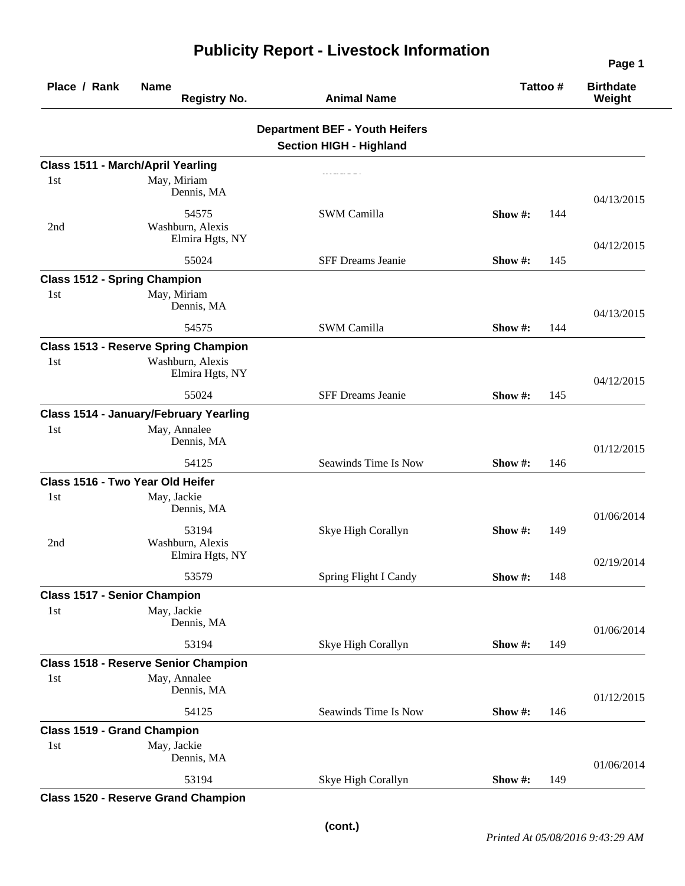| Place / Rank<br><b>Name</b><br><b>Registry No.</b> |                                               | <b>Animal Name</b>                                                      | Tattoo # |     | <b>Birthdate</b><br>Weight |
|----------------------------------------------------|-----------------------------------------------|-------------------------------------------------------------------------|----------|-----|----------------------------|
|                                                    |                                               | <b>Department BEF - Youth Heifers</b><br><b>Section HIGH - Highland</b> |          |     |                            |
| Class 1511 - March/April Yearling                  |                                               |                                                                         |          |     |                            |
| 1st                                                | May, Miriam<br>Dennis, MA                     |                                                                         |          |     | 04/13/2015                 |
| 2nd                                                | 54575<br>Washburn, Alexis<br>Elmira Hgts, NY  | <b>SWM Camilla</b>                                                      | Show #:  | 144 | 04/12/2015                 |
|                                                    | 55024                                         | <b>SFF Dreams Jeanie</b>                                                | Show #:  | 145 |                            |
| <b>Class 1512 - Spring Champion</b>                |                                               |                                                                         |          |     |                            |
| 1st                                                | May, Miriam<br>Dennis, MA                     |                                                                         |          |     | 04/13/2015                 |
|                                                    | 54575                                         | <b>SWM Camilla</b>                                                      | Show #:  | 144 |                            |
|                                                    | <b>Class 1513 - Reserve Spring Champion</b>   |                                                                         |          |     |                            |
| 1st                                                | Washburn, Alexis<br>Elmira Hgts, NY           |                                                                         |          |     | 04/12/2015                 |
|                                                    | 55024                                         | SFF Dreams Jeanie                                                       | Show#:   | 145 |                            |
|                                                    | <b>Class 1514 - January/February Yearling</b> |                                                                         |          |     |                            |
| 1st                                                | May, Annalee<br>Dennis, MA                    |                                                                         |          |     | 01/12/2015                 |
|                                                    | 54125                                         | Seawinds Time Is Now                                                    | Show #:  | 146 |                            |
| Class 1516 - Two Year Old Heifer                   |                                               |                                                                         |          |     |                            |
| 1st                                                | May, Jackie<br>Dennis, MA                     |                                                                         |          |     | 01/06/2014                 |
| 2nd                                                | 53194<br>Washburn, Alexis<br>Elmira Hgts, NY  | Skye High Corallyn                                                      | Show #:  | 149 |                            |
|                                                    | 53579                                         | Spring Flight I Candy                                                   | Show#:   | 148 | 02/19/2014                 |
| <b>Class 1517 - Senior Champion</b>                |                                               |                                                                         |          |     |                            |
| 1st                                                | May, Jackie<br>Dennis, MA                     |                                                                         |          |     | 01/06/2014                 |
|                                                    | 53194                                         | Skye High Corallyn                                                      | Show#:   | 149 |                            |
|                                                    | <b>Class 1518 - Reserve Senior Champion</b>   |                                                                         |          |     |                            |
| 1st                                                | May, Annalee<br>Dennis, MA                    |                                                                         |          |     | 01/12/2015                 |
|                                                    | 54125                                         | Seawinds Time Is Now                                                    | Show#:   | 146 |                            |
| <b>Class 1519 - Grand Champion</b>                 |                                               |                                                                         |          |     |                            |
| 1st                                                | May, Jackie<br>Dennis, MA                     |                                                                         |          |     | 01/06/2014                 |
|                                                    | 53194                                         | Skye High Corallyn                                                      | Show#:   | 149 |                            |
|                                                    |                                               |                                                                         |          |     |                            |

## **Publicity Report - Livestock Information**

**Class 1520 - Reserve Grand Champion** 

**Page 1**